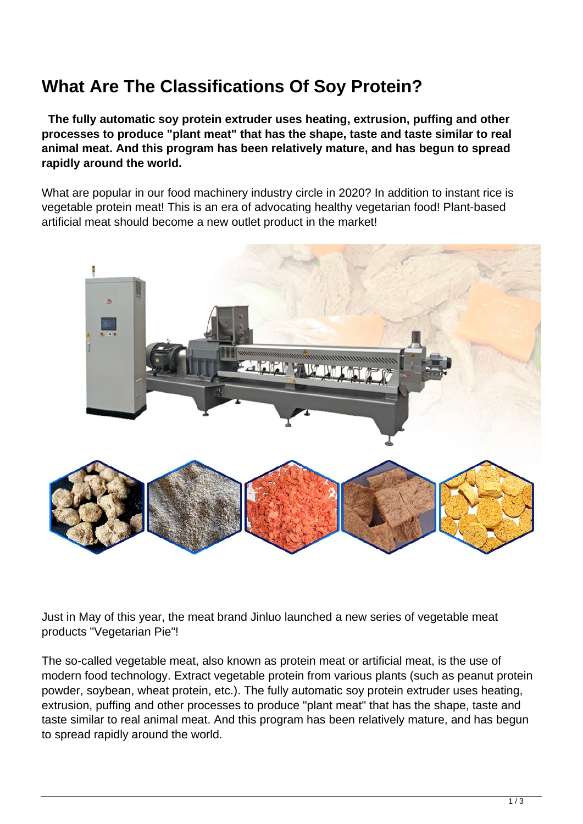## **What Are The Classifications Of Soy Protein?**

 **The fully automatic soy protein extruder uses heating, extrusion, puffing and other processes to produce "plant meat" that has the shape, taste and taste similar to real animal meat. And this program has been relatively mature, and has begun to spread rapidly around the world.**

What are popular in our food machinery industry circle in 2020? In addition to instant rice is vegetable protein meat! This is an era of advocating healthy vegetarian food! Plant-based artificial meat should become a new outlet product in the market!



Just in May of this year, the meat brand Jinluo launched a new series of vegetable meat products "Vegetarian Pie"!

The so-called vegetable meat, also known as protein meat or artificial meat, is the use of modern food technology. Extract vegetable protein from various plants (such as peanut protein powder, soybean, wheat protein, etc.). The fully automatic soy protein extruder uses heating, extrusion, puffing and other processes to produce "plant meat" that has the shape, taste and taste similar to real animal meat. And this program has been relatively mature, and has begun to spread rapidly around the world.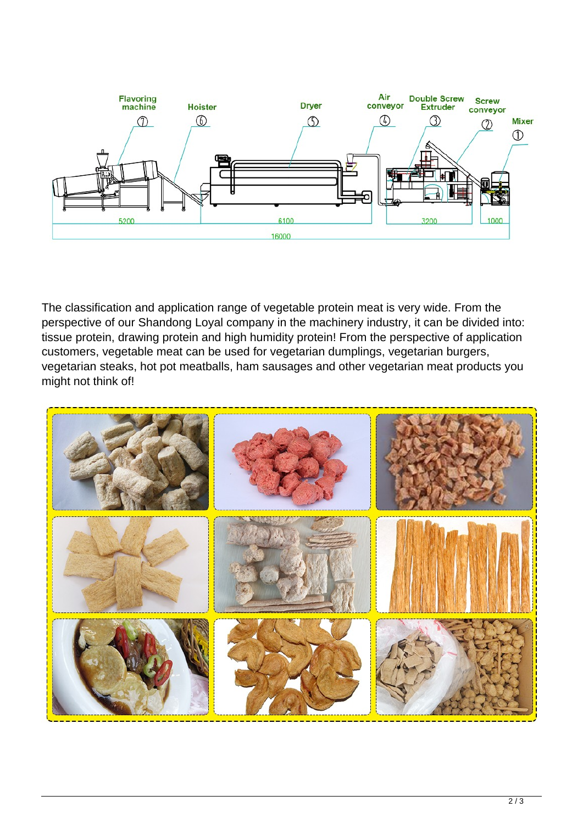

The classification and application range of vegetable protein meat is very wide. From the perspective of our Shandong Loyal company in the machinery industry, it can be divided into: tissue protein, drawing protein and high humidity protein! From the perspective of application customers, vegetable meat can be used for vegetarian dumplings, vegetarian burgers, vegetarian steaks, hot pot meatballs, ham sausages and other vegetarian meat products you might not think of!